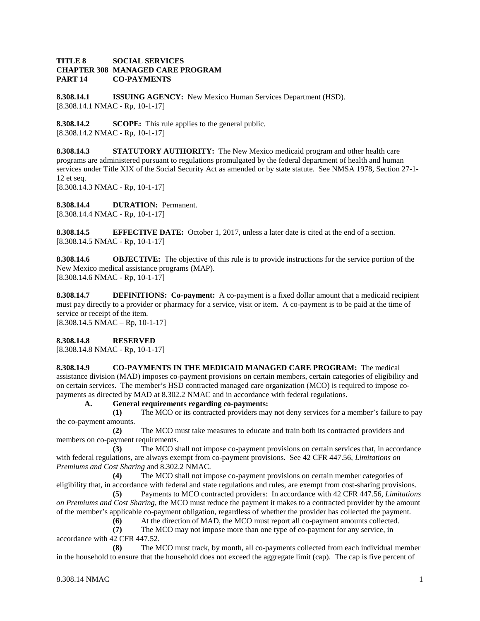## **TITLE 8 SOCIAL SERVICES CHAPTER 308 MANAGED CARE PROGRAM PART 14 CO-PAYMENTS**

**8.308.14.1 ISSUING AGENCY:** New Mexico Human Services Department (HSD). [8.308.14.1 NMAC - Rp, 10-1-17]

**8.308.14.2 SCOPE:** This rule applies to the general public. [8.308.14.2 NMAC - Rp, 10-1-17]

**8.308.14.3 STATUTORY AUTHORITY:** The New Mexico medicaid program and other health care programs are administered pursuant to regulations promulgated by the federal department of health and human services under Title XIX of the Social Security Act as amended or by state statute. See NMSA 1978, Section 27-1- 12 et seq. [8.308.14.3 NMAC - Rp, 10-1-17]

**8.308.14.4 DURATION:** Permanent.

[8.308.14.4 NMAC - Rp, 10-1-17]

**8.308.14.5 EFFECTIVE DATE:** October 1, 2017, unless a later date is cited at the end of a section. [8.308.14.5 NMAC - Rp, 10-1-17]

**8.308.14.6 OBJECTIVE:** The objective of this rule is to provide instructions for the service portion of the New Mexico medical assistance programs (MAP). [8.308.14.6 NMAC - Rp, 10-1-17]

**8.308.14.7 DEFINITIONS: Co-payment:** A co-payment is a fixed dollar amount that a medicaid recipient must pay directly to a provider or pharmacy for a service, visit or item. A co-payment is to be paid at the time of service or receipt of the item.

 $[8.308.14.5 NMAC - Rp, 10-1-17]$ 

## **8.308.14.8 RESERVED**

[8.308.14.8 NMAC - Rp, 10-1-17]

**8.308.14.9 CO-PAYMENTS IN THE MEDICAID MANAGED CARE PROGRAM:** The medical assistance division (MAD) imposes co-payment provisions on certain members, certain categories of eligibility and on certain services. The member's HSD contracted managed care organization (MCO) is required to impose copayments as directed by MAD at 8.302.2 NMAC and in accordance with federal regulations.

**A. General requirements regarding co-payments:**

**(1)** The MCO or its contracted providers may not deny services for a member's failure to pay the co-payment amounts.

**(2)** The MCO must take measures to educate and train both its contracted providers and members on co-payment requirements.

**(3)** The MCO shall not impose co-payment provisions on certain services that, in accordance with federal regulations, are always exempt from co-payment provisions. See 42 CFR 447.56, *Limitations on Premiums and Cost Sharing* and 8.302.2 NMAC.

**(4)** The MCO shall not impose co-payment provisions on certain member categories of eligibility that, in accordance with federal and state regulations and rules, are exempt from cost-sharing provisions.

**(5)** Payments to MCO contracted providers: In accordance with 42 CFR 447.56, *Limitations on Premiums and Cost Sharing*, the MCO must reduce the payment it makes to a contracted provider by the amount of the member's applicable co-payment obligation, regardless of whether the provider has collected the payment.

(6) At the direction of MAD, the MCO must report all co-payment amounts collected.<br>
(7) The MCO may not impose more than one type of co-payment for any service, in

**(7)** The MCO may not impose more than one type of co-payment for any service, in accordance with 42 CFR 447.52.

**(8)** The MCO must track, by month, all co-payments collected from each individual member in the household to ensure that the household does not exceed the aggregate limit (cap). The cap is five percent of